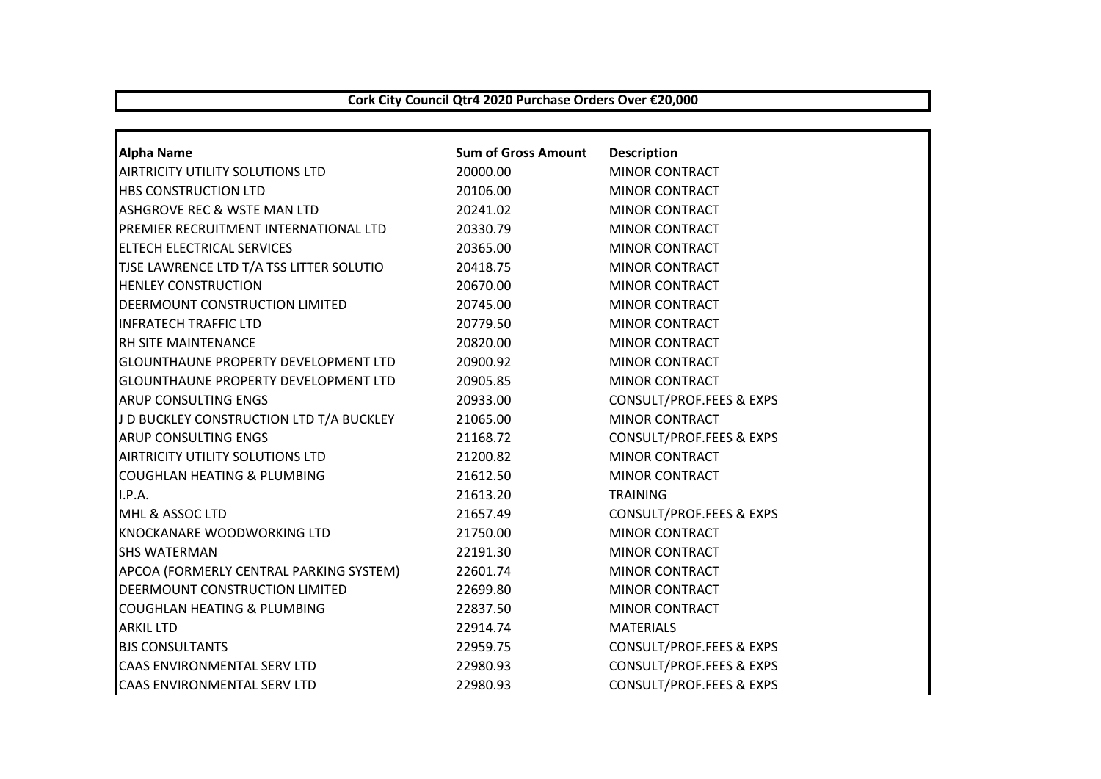## **Cork City Council Qtr4 2020 Purchase Orders Over €20,000**

| <b>Alpha Name</b>                           | <b>Sum of Gross Amount</b> | <b>Description</b>                  |
|---------------------------------------------|----------------------------|-------------------------------------|
| AIRTRICITY UTILITY SOLUTIONS LTD            | 20000.00                   | <b>MINOR CONTRACT</b>               |
| <b>HBS CONSTRUCTION LTD</b>                 | 20106.00                   | <b>MINOR CONTRACT</b>               |
| ASHGROVE REC & WSTE MAN LTD                 | 20241.02                   | <b>MINOR CONTRACT</b>               |
| PREMIER RECRUITMENT INTERNATIONAL LTD       | 20330.79                   | <b>MINOR CONTRACT</b>               |
| <b>ELTECH ELECTRICAL SERVICES</b>           | 20365.00                   | <b>MINOR CONTRACT</b>               |
| TJSE LAWRENCE LTD T/A TSS LITTER SOLUTIO    | 20418.75                   | <b>MINOR CONTRACT</b>               |
| <b>HENLEY CONSTRUCTION</b>                  | 20670.00                   | <b>MINOR CONTRACT</b>               |
| DEERMOUNT CONSTRUCTION LIMITED              | 20745.00                   | <b>MINOR CONTRACT</b>               |
| <b>INFRATECH TRAFFIC LTD</b>                | 20779.50                   | <b>MINOR CONTRACT</b>               |
| <b>RH SITE MAINTENANCE</b>                  | 20820.00                   | <b>MINOR CONTRACT</b>               |
| <b>GLOUNTHAUNE PROPERTY DEVELOPMENT LTD</b> | 20900.92                   | <b>MINOR CONTRACT</b>               |
| <b>GLOUNTHAUNE PROPERTY DEVELOPMENT LTD</b> | 20905.85                   | <b>MINOR CONTRACT</b>               |
| <b>ARUP CONSULTING ENGS</b>                 | 20933.00                   | CONSULT/PROF.FEES & EXPS            |
| J D BUCKLEY CONSTRUCTION LTD T/A BUCKLEY    | 21065.00                   | <b>MINOR CONTRACT</b>               |
| <b>ARUP CONSULTING ENGS</b>                 | 21168.72                   | <b>CONSULT/PROF.FEES &amp; EXPS</b> |
| <b>AIRTRICITY UTILITY SOLUTIONS LTD</b>     | 21200.82                   | <b>MINOR CONTRACT</b>               |
| <b>COUGHLAN HEATING &amp; PLUMBING</b>      | 21612.50                   | <b>MINOR CONTRACT</b>               |
| I.P.A.                                      | 21613.20                   | <b>TRAINING</b>                     |
| MHL & ASSOC LTD                             | 21657.49                   | <b>CONSULT/PROF.FEES &amp; EXPS</b> |
| <b>KNOCKANARE WOODWORKING LTD</b>           | 21750.00                   | <b>MINOR CONTRACT</b>               |
| <b>SHS WATERMAN</b>                         | 22191.30                   | <b>MINOR CONTRACT</b>               |
| APCOA (FORMERLY CENTRAL PARKING SYSTEM)     | 22601.74                   | <b>MINOR CONTRACT</b>               |
| DEERMOUNT CONSTRUCTION LIMITED              | 22699.80                   | <b>MINOR CONTRACT</b>               |
| <b>COUGHLAN HEATING &amp; PLUMBING</b>      | 22837.50                   | <b>MINOR CONTRACT</b>               |
| <b>ARKIL LTD</b>                            | 22914.74                   | <b>MATERIALS</b>                    |
| <b>BJS CONSULTANTS</b>                      | 22959.75                   | CONSULT/PROF.FEES & EXPS            |
| CAAS ENVIRONMENTAL SERV LTD                 | 22980.93                   | <b>CONSULT/PROF.FEES &amp; EXPS</b> |
| CAAS ENVIRONMENTAL SERV LTD                 | 22980.93                   | <b>CONSULT/PROF.FEES &amp; EXPS</b> |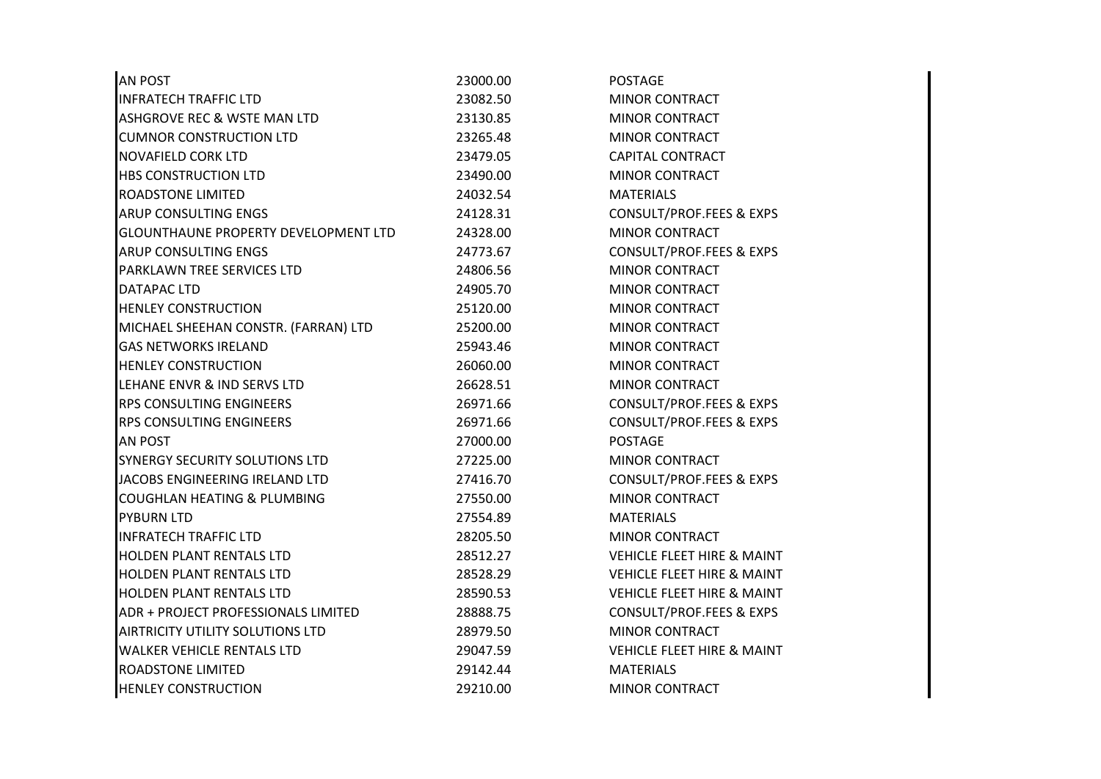| <b>AN POST</b>                              | 23000.00 | <b>POSTAGE</b>                        |  |
|---------------------------------------------|----------|---------------------------------------|--|
| <b>INFRATECH TRAFFIC LTD</b>                | 23082.50 | <b>MINOR CONTRACT</b>                 |  |
| ASHGROVE REC & WSTE MAN LTD                 | 23130.85 | <b>MINOR CONTRACT</b>                 |  |
| <b>CUMNOR CONSTRUCTION LTD</b>              | 23265.48 | <b>MINOR CONTRACT</b>                 |  |
| NOVAFIELD CORK LTD                          | 23479.05 | <b>CAPITAL CONTRACT</b>               |  |
| <b>HBS CONSTRUCTION LTD</b>                 | 23490.00 | <b>MINOR CONTRACT</b>                 |  |
| <b>ROADSTONE LIMITED</b>                    | 24032.54 | <b>MATERIALS</b>                      |  |
| ARUP CONSULTING ENGS                        | 24128.31 | <b>CONSULT/PROF.FEES &amp; EXPS</b>   |  |
| <b>GLOUNTHAUNE PROPERTY DEVELOPMENT LTD</b> | 24328.00 | <b>MINOR CONTRACT</b>                 |  |
| ARUP CONSULTING ENGS                        | 24773.67 | <b>CONSULT/PROF.FEES &amp; EXPS</b>   |  |
| PARKLAWN TREE SERVICES LTD                  | 24806.56 | <b>MINOR CONTRACT</b>                 |  |
| DATAPAC LTD                                 | 24905.70 | <b>MINOR CONTRACT</b>                 |  |
| <b>HENLEY CONSTRUCTION</b>                  | 25120.00 | MINOR CONTRACT                        |  |
| MICHAEL SHEEHAN CONSTR. (FARRAN) LTD        | 25200.00 | <b>MINOR CONTRACT</b>                 |  |
| <b>GAS NETWORKS IRELAND</b>                 | 25943.46 | <b>MINOR CONTRACT</b>                 |  |
| <b>HENLEY CONSTRUCTION</b>                  | 26060.00 | <b>MINOR CONTRACT</b>                 |  |
| LEHANE ENVR & IND SERVS LTD                 | 26628.51 | MINOR CONTRACT                        |  |
| <b>RPS CONSULTING ENGINEERS</b>             | 26971.66 | CONSULT/PROF.FEES & EXPS              |  |
| <b>RPS CONSULTING ENGINEERS</b>             | 26971.66 | <b>CONSULT/PROF.FEES &amp; EXPS</b>   |  |
| AN POST                                     | 27000.00 | <b>POSTAGE</b>                        |  |
| SYNERGY SECURITY SOLUTIONS LTD              | 27225.00 | <b>MINOR CONTRACT</b>                 |  |
| JACOBS ENGINEERING IRELAND LTD              | 27416.70 | <b>CONSULT/PROF.FEES &amp; EXPS</b>   |  |
| COUGHLAN HEATING & PLUMBING                 | 27550.00 | <b>MINOR CONTRACT</b>                 |  |
| <b>PYBURN LTD</b>                           | 27554.89 | <b>MATERIALS</b>                      |  |
| <b>INFRATECH TRAFFIC LTD</b>                | 28205.50 | <b>MINOR CONTRACT</b>                 |  |
| HOLDEN PLANT RENTALS LTD                    | 28512.27 | <b>VEHICLE FLEET HIRE &amp; MAINT</b> |  |
| HOLDEN PLANT RENTALS LTD                    | 28528.29 | <b>VEHICLE FLEET HIRE &amp; MAINT</b> |  |
| HOLDEN PLANT RENTALS LTD                    | 28590.53 | <b>VEHICLE FLEET HIRE &amp; MAINT</b> |  |
| ADR + PROJECT PROFESSIONALS LIMITED         | 28888.75 | CONSULT/PROF.FEES & EXPS              |  |
| AIRTRICITY UTILITY SOLUTIONS LTD            | 28979.50 | <b>MINOR CONTRACT</b>                 |  |
| <b>WALKER VEHICLE RENTALS LTD</b>           | 29047.59 | <b>VEHICLE FLEET HIRE &amp; MAINT</b> |  |
| <b>ROADSTONE LIMITED</b>                    | 29142.44 | <b>MATERIALS</b>                      |  |
| <b>HENLEY CONSTRUCTION</b>                  | 29210.00 | <b>MINOR CONTRACT</b>                 |  |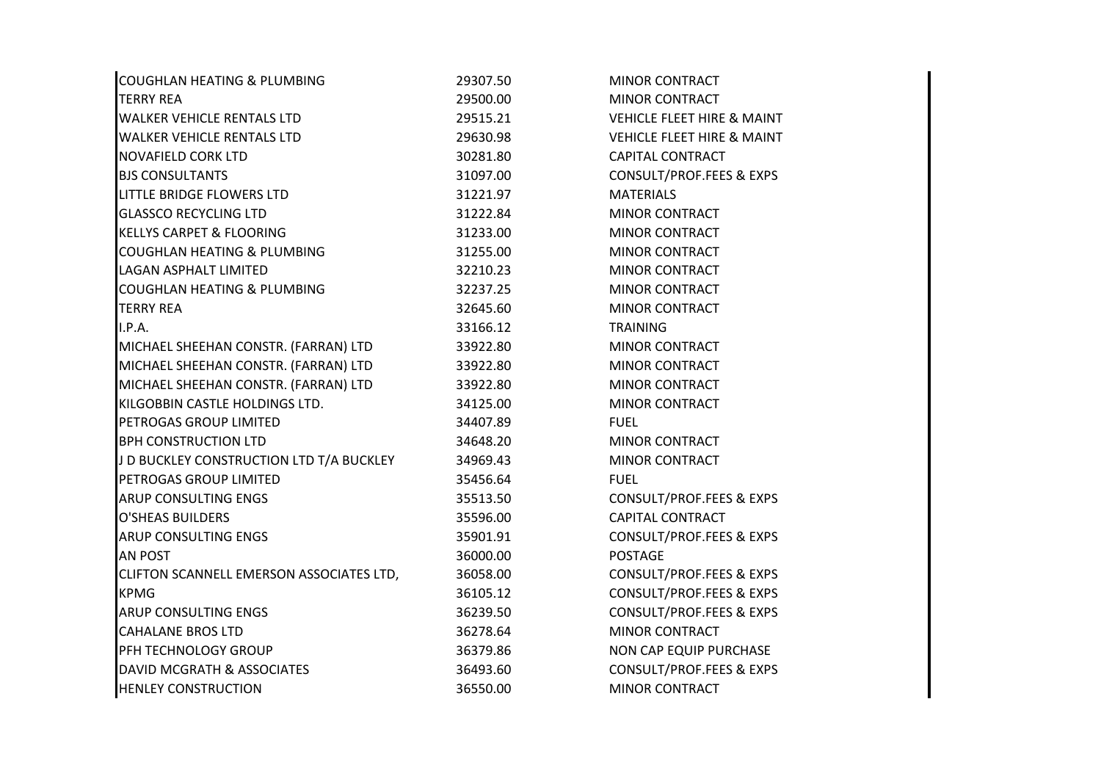| COUGHLAN HEATING & PLUMBING              | 29307.50 | <b>MINOR CONTRACT</b>                 |
|------------------------------------------|----------|---------------------------------------|
| <b>TERRY REA</b>                         | 29500.00 | <b>MINOR CONTRACT</b>                 |
| <b>WALKER VEHICLE RENTALS LTD</b>        | 29515.21 | <b>VEHICLE FLEET HIRE &amp; MAINT</b> |
| <b>WALKER VEHICLE RENTALS LTD</b>        | 29630.98 | <b>VEHICLE FLEET HIRE &amp; MAINT</b> |
| NOVAFIELD CORK LTD                       | 30281.80 | <b>CAPITAL CONTRACT</b>               |
| <b>BJS CONSULTANTS</b>                   | 31097.00 | CONSULT/PROF.FEES & EXPS              |
| LITTLE BRIDGE FLOWERS LTD                | 31221.97 | <b>MATERIALS</b>                      |
| <b>GLASSCO RECYCLING LTD</b>             | 31222.84 | <b>MINOR CONTRACT</b>                 |
| <b>KELLYS CARPET &amp; FLOORING</b>      | 31233.00 | <b>MINOR CONTRACT</b>                 |
| COUGHLAN HEATING & PLUMBING              | 31255.00 | <b>MINOR CONTRACT</b>                 |
| <b>LAGAN ASPHALT LIMITED</b>             | 32210.23 | <b>MINOR CONTRACT</b>                 |
| COUGHLAN HEATING & PLUMBING              | 32237.25 | <b>MINOR CONTRACT</b>                 |
| <b>TERRY REA</b>                         | 32645.60 | <b>MINOR CONTRACT</b>                 |
| I.P.A.                                   | 33166.12 | <b>TRAINING</b>                       |
| MICHAEL SHEEHAN CONSTR. (FARRAN) LTD     | 33922.80 | MINOR CONTRACT                        |
| MICHAEL SHEEHAN CONSTR. (FARRAN) LTD     | 33922.80 | <b>MINOR CONTRACT</b>                 |
| MICHAEL SHEEHAN CONSTR. (FARRAN) LTD     | 33922.80 | <b>MINOR CONTRACT</b>                 |
| KILGOBBIN CASTLE HOLDINGS LTD.           | 34125.00 | <b>MINOR CONTRACT</b>                 |
| PETROGAS GROUP LIMITED                   | 34407.89 | <b>FUEL</b>                           |
| <b>BPH CONSTRUCTION LTD</b>              | 34648.20 | MINOR CONTRACT                        |
| J D BUCKLEY CONSTRUCTION LTD T/A BUCKLEY | 34969.43 | <b>MINOR CONTRACT</b>                 |
| PETROGAS GROUP LIMITED                   | 35456.64 | <b>FUEL</b>                           |
| ARUP CONSULTING ENGS                     | 35513.50 | <b>CONSULT/PROF.FEES &amp; EXPS</b>   |
| <b>O'SHEAS BUILDERS</b>                  | 35596.00 | <b>CAPITAL CONTRACT</b>               |
| <b>ARUP CONSULTING ENGS</b>              | 35901.91 | CONSULT/PROF.FEES & EXPS              |
| AN POST                                  | 36000.00 | <b>POSTAGE</b>                        |
| CLIFTON SCANNELL EMERSON ASSOCIATES LTD, | 36058.00 | CONSULT/PROF.FEES & EXPS              |
| <b>KPMG</b>                              | 36105.12 | <b>CONSULT/PROF.FEES &amp; EXPS</b>   |
| <b>ARUP CONSULTING ENGS</b>              | 36239.50 | CONSULT/PROF.FEES & EXPS              |
| <b>CAHALANE BROS LTD</b>                 | 36278.64 | <b>MINOR CONTRACT</b>                 |
| PFH TECHNOLOGY GROUP                     | 36379.86 | NON CAP EQUIP PURCHASE                |
| DAVID MCGRATH & ASSOCIATES               | 36493.60 | <b>CONSULT/PROF.FEES &amp; EXPS</b>   |
| <b>HENLEY CONSTRUCTION</b>               | 36550.00 | <b>MINOR CONTRACT</b>                 |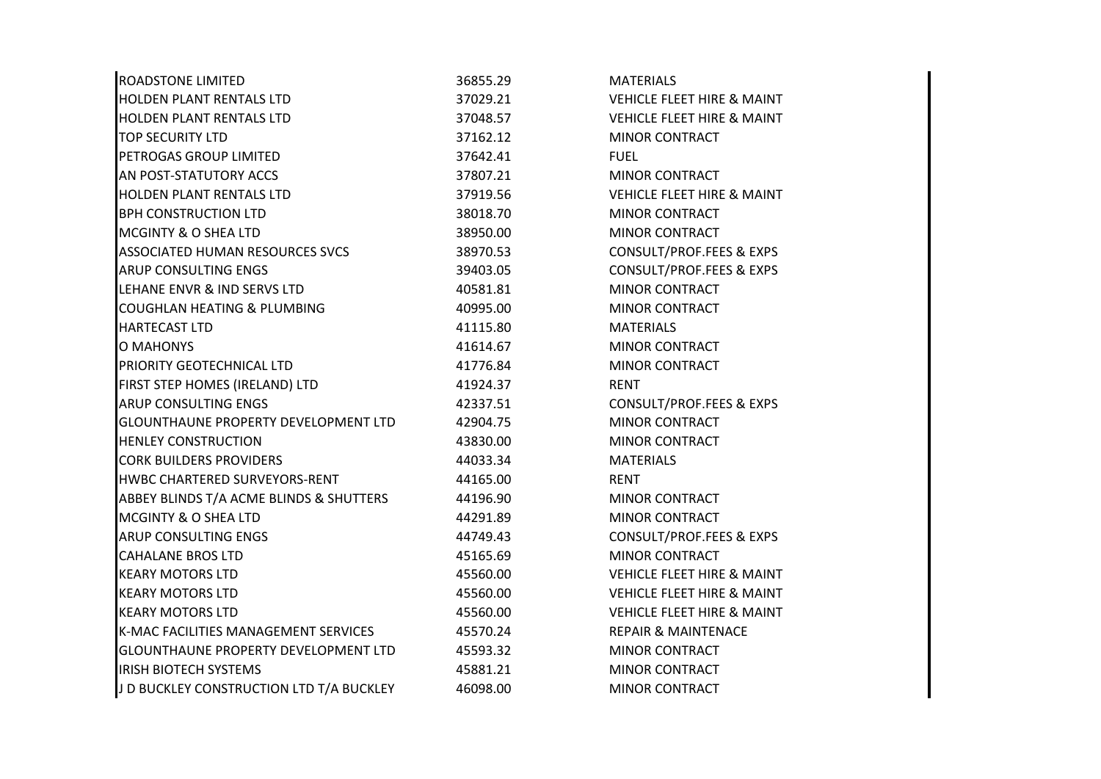| <b>ROADSTONE LIMITED</b>                 | 36855.29 | <b>MATERIALS</b>                      |
|------------------------------------------|----------|---------------------------------------|
| <b>HOLDEN PLANT RENTALS LTD</b>          | 37029.21 | <b>VEHICLE FLEET HIRE &amp; MAINT</b> |
| HOLDEN PLANT RENTALS LTD                 | 37048.57 | <b>VEHICLE FLEET HIRE &amp; MAINT</b> |
| <b>TOP SECURITY LTD</b>                  | 37162.12 | <b>MINOR CONTRACT</b>                 |
| PETROGAS GROUP LIMITED                   | 37642.41 | <b>FUEL</b>                           |
| AN POST-STATUTORY ACCS                   | 37807.21 | <b>MINOR CONTRACT</b>                 |
| HOLDEN PLANT RENTALS LTD                 | 37919.56 | <b>VEHICLE FLEET HIRE &amp; MAINT</b> |
| <b>BPH CONSTRUCTION LTD</b>              | 38018.70 | <b>MINOR CONTRACT</b>                 |
| <b>MCGINTY &amp; O SHEA LTD</b>          | 38950.00 | <b>MINOR CONTRACT</b>                 |
| <b>ASSOCIATED HUMAN RESOURCES SVCS</b>   | 38970.53 | CONSULT/PROF.FEES & EXPS              |
| <b>ARUP CONSULTING ENGS</b>              | 39403.05 | CONSULT/PROF.FEES & EXPS              |
| LEHANE ENVR & IND SERVS LTD              | 40581.81 | <b>MINOR CONTRACT</b>                 |
| <b>COUGHLAN HEATING &amp; PLUMBING</b>   | 40995.00 | MINOR CONTRACT                        |
| <b>HARTECAST LTD</b>                     | 41115.80 | <b>MATERIALS</b>                      |
| <b>O MAHONYS</b>                         | 41614.67 | <b>MINOR CONTRACT</b>                 |
| PRIORITY GEOTECHNICAL LTD                | 41776.84 | <b>MINOR CONTRACT</b>                 |
| FIRST STEP HOMES (IRELAND) LTD           | 41924.37 | <b>RENT</b>                           |
| <b>ARUP CONSULTING ENGS</b>              | 42337.51 | CONSULT/PROF.FEES & EXPS              |
| GLOUNTHAUNE PROPERTY DEVELOPMENT LTD     | 42904.75 | <b>MINOR CONTRACT</b>                 |
| <b>HENLEY CONSTRUCTION</b>               | 43830.00 | <b>MINOR CONTRACT</b>                 |
| <b>CORK BUILDERS PROVIDERS</b>           | 44033.34 | <b>MATERIALS</b>                      |
| HWBC CHARTERED SURVEYORS-RENT            | 44165.00 | <b>RENT</b>                           |
| ABBEY BLINDS T/A ACME BLINDS & SHUTTERS  | 44196.90 | <b>MINOR CONTRACT</b>                 |
| <b>MCGINTY &amp; O SHEA LTD</b>          | 44291.89 | <b>MINOR CONTRACT</b>                 |
| <b>ARUP CONSULTING ENGS</b>              | 44749.43 | <b>CONSULT/PROF.FEES &amp; EXPS</b>   |
| <b>CAHALANE BROS LTD</b>                 | 45165.69 | <b>MINOR CONTRACT</b>                 |
| <b>KEARY MOTORS LTD</b>                  | 45560.00 | <b>VEHICLE FLEET HIRE &amp; MAINT</b> |
| <b>KEARY MOTORS LTD</b>                  | 45560.00 | <b>VEHICLE FLEET HIRE &amp; MAINT</b> |
| <b>KEARY MOTORS LTD</b>                  | 45560.00 | <b>VEHICLE FLEET HIRE &amp; MAINT</b> |
| K-MAC FACILITIES MANAGEMENT SERVICES     | 45570.24 | <b>REPAIR &amp; MAINTENACE</b>        |
| GLOUNTHAUNE PROPERTY DEVELOPMENT LTD     | 45593.32 | <b>MINOR CONTRACT</b>                 |
| <b>IRISH BIOTECH SYSTEMS</b>             | 45881.21 | <b>MINOR CONTRACT</b>                 |
| J D BUCKLEY CONSTRUCTION LTD T/A BUCKLEY | 46098.00 | <b>MINOR CONTRACT</b>                 |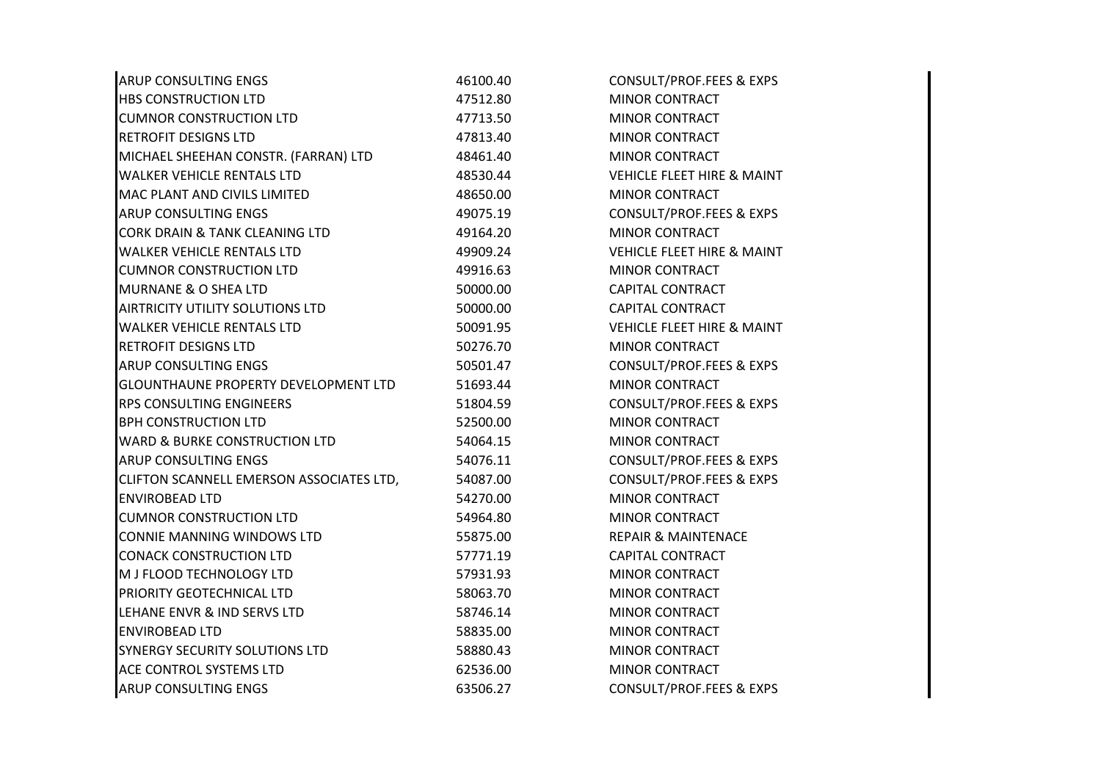| <b>ARUP CONSULTING ENGS</b>                 | 46100.40 | CONSULT/PROF.FEES & EXPS              |
|---------------------------------------------|----------|---------------------------------------|
| <b>HBS CONSTRUCTION LTD</b>                 | 47512.80 | <b>MINOR CONTRACT</b>                 |
| <b>CUMNOR CONSTRUCTION LTD</b>              | 47713.50 | <b>MINOR CONTRACT</b>                 |
| RETROFIT DESIGNS LTD                        | 47813.40 | <b>MINOR CONTRACT</b>                 |
| MICHAEL SHEEHAN CONSTR. (FARRAN) LTD        | 48461.40 | <b>MINOR CONTRACT</b>                 |
| <b>WALKER VEHICLE RENTALS LTD</b>           | 48530.44 | <b>VEHICLE FLEET HIRE &amp; MAINT</b> |
| MAC PLANT AND CIVILS LIMITED                | 48650.00 | <b>MINOR CONTRACT</b>                 |
| ARUP CONSULTING ENGS                        | 49075.19 | CONSULT/PROF.FEES & EXPS              |
| <b>CORK DRAIN &amp; TANK CLEANING LTD</b>   | 49164.20 | <b>MINOR CONTRACT</b>                 |
| <b>WALKER VEHICLE RENTALS LTD</b>           | 49909.24 | <b>VEHICLE FLEET HIRE &amp; MAINT</b> |
| <b>CUMNOR CONSTRUCTION LTD</b>              | 49916.63 | <b>MINOR CONTRACT</b>                 |
| <b>MURNANE &amp; O SHEA LTD</b>             | 50000.00 | <b>CAPITAL CONTRACT</b>               |
| <b>AIRTRICITY UTILITY SOLUTIONS LTD</b>     | 50000.00 | <b>CAPITAL CONTRACT</b>               |
| <b>WALKER VEHICLE RENTALS LTD</b>           | 50091.95 | <b>VEHICLE FLEET HIRE &amp; MAINT</b> |
| <b>RETROFIT DESIGNS LTD</b>                 | 50276.70 | <b>MINOR CONTRACT</b>                 |
| ARUP CONSULTING ENGS                        | 50501.47 | CONSULT/PROF.FEES & EXPS              |
| <b>GLOUNTHAUNE PROPERTY DEVELOPMENT LTD</b> | 51693.44 | <b>MINOR CONTRACT</b>                 |
| RPS CONSULTING ENGINEERS                    | 51804.59 | CONSULT/PROF.FEES & EXPS              |
| <b>BPH CONSTRUCTION LTD</b>                 | 52500.00 | <b>MINOR CONTRACT</b>                 |
| <b>WARD &amp; BURKE CONSTRUCTION LTD</b>    | 54064.15 | <b>MINOR CONTRACT</b>                 |
| <b>ARUP CONSULTING ENGS</b>                 | 54076.11 | CONSULT/PROF.FEES & EXPS              |
| CLIFTON SCANNELL EMERSON ASSOCIATES LTD,    | 54087.00 | <b>CONSULT/PROF.FEES &amp; EXPS</b>   |
| <b>ENVIROBEAD LTD</b>                       | 54270.00 | MINOR CONTRACT                        |
| <b>CUMNOR CONSTRUCTION LTD</b>              | 54964.80 | <b>MINOR CONTRACT</b>                 |
| CONNIE MANNING WINDOWS LTD                  | 55875.00 | <b>REPAIR &amp; MAINTENACE</b>        |
| <b>CONACK CONSTRUCTION LTD</b>              | 57771.19 | <b>CAPITAL CONTRACT</b>               |
| M J FLOOD TECHNOLOGY LTD                    | 57931.93 | <b>MINOR CONTRACT</b>                 |
| PRIORITY GEOTECHNICAL LTD                   | 58063.70 | <b>MINOR CONTRACT</b>                 |
| LEHANE ENVR & IND SERVS LTD                 | 58746.14 | MINOR CONTRACT                        |
| <b>ENVIROBEAD LTD</b>                       | 58835.00 | <b>MINOR CONTRACT</b>                 |
| <b>SYNERGY SECURITY SOLUTIONS LTD</b>       | 58880.43 | MINOR CONTRACT                        |
| <b>ACE CONTROL SYSTEMS LTD</b>              | 62536.00 | <b>MINOR CONTRACT</b>                 |
| <b>ARUP CONSULTING ENGS</b>                 | 63506.27 | CONSULT/PROF.FEES & EXPS              |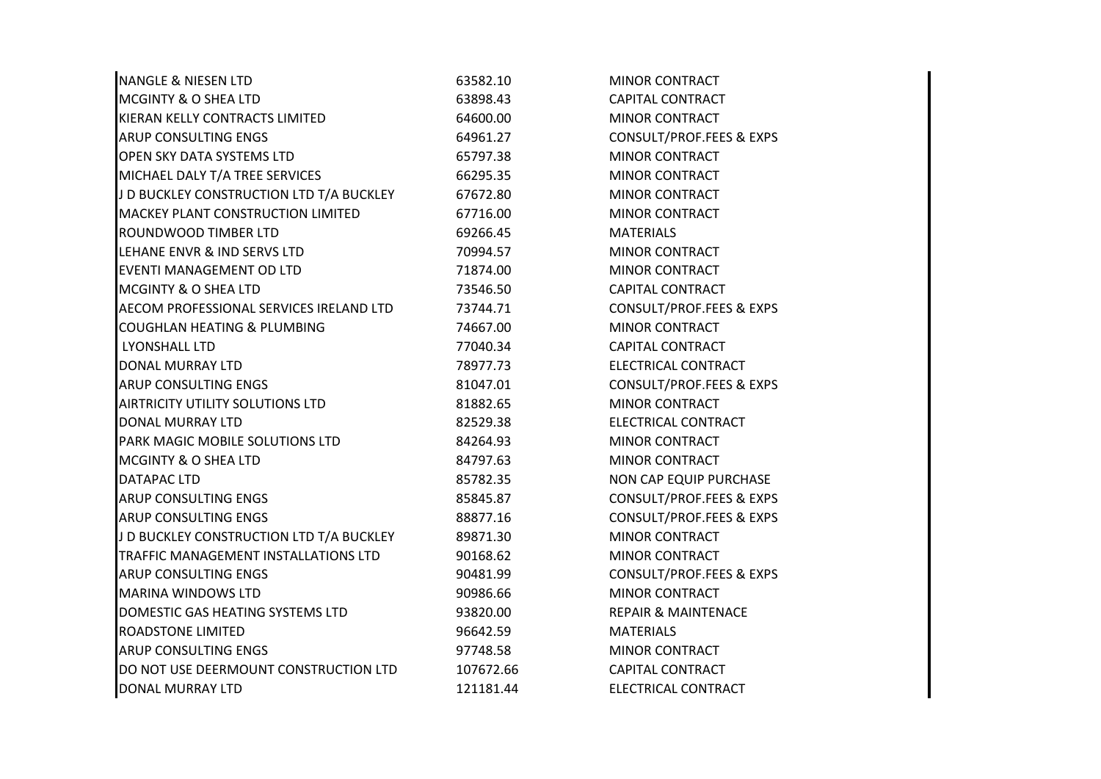| <b>NANGLE &amp; NIESEN LTD</b>           | 63582.10  | <b>MINOR CONTRACT</b>               |
|------------------------------------------|-----------|-------------------------------------|
| <b>MCGINTY &amp; O SHEA LTD</b>          | 63898.43  | <b>CAPITAL CONTRACT</b>             |
| KIERAN KELLY CONTRACTS LIMITED           | 64600.00  | <b>MINOR CONTRACT</b>               |
| <b>ARUP CONSULTING ENGS</b>              | 64961.27  | CONSULT/PROF.FEES & EXPS            |
| OPEN SKY DATA SYSTEMS LTD                | 65797.38  | <b>MINOR CONTRACT</b>               |
| MICHAEL DALY T/A TREE SERVICES           | 66295.35  | MINOR CONTRACT                      |
| J D BUCKLEY CONSTRUCTION LTD T/A BUCKLEY | 67672.80  | <b>MINOR CONTRACT</b>               |
| MACKEY PLANT CONSTRUCTION LIMITED        | 67716.00  | <b>MINOR CONTRACT</b>               |
| <b>ROUNDWOOD TIMBER LTD</b>              | 69266.45  | <b>MATERIALS</b>                    |
| LEHANE ENVR & IND SERVS LTD              | 70994.57  | <b>MINOR CONTRACT</b>               |
| EVENTI MANAGEMENT OD LTD                 | 71874.00  | <b>MINOR CONTRACT</b>               |
| MCGINTY & O SHEA LTD                     | 73546.50  | <b>CAPITAL CONTRACT</b>             |
| AECOM PROFESSIONAL SERVICES IRELAND LTD  | 73744.71  | CONSULT/PROF.FEES & EXPS            |
| COUGHLAN HEATING & PLUMBING              | 74667.00  | <b>MINOR CONTRACT</b>               |
| LYONSHALL LTD                            | 77040.34  | <b>CAPITAL CONTRACT</b>             |
| <b>DONAL MURRAY LTD</b>                  | 78977.73  | ELECTRICAL CONTRACT                 |
| <b>ARUP CONSULTING ENGS</b>              | 81047.01  | <b>CONSULT/PROF.FEES &amp; EXPS</b> |
| AIRTRICITY UTILITY SOLUTIONS LTD         | 81882.65  | <b>MINOR CONTRACT</b>               |
| DONAL MURRAY LTD                         | 82529.38  | ELECTRICAL CONTRACT                 |
| PARK MAGIC MOBILE SOLUTIONS LTD          | 84264.93  | MINOR CONTRACT                      |
| <b>MCGINTY &amp; O SHEA LTD</b>          | 84797.63  | <b>MINOR CONTRACT</b>               |
| <b>DATAPAC LTD</b>                       | 85782.35  | NON CAP EQUIP PURCHASE              |
| <b>ARUP CONSULTING ENGS</b>              | 85845.87  | CONSULT/PROF.FEES & EXPS            |
| <b>ARUP CONSULTING ENGS</b>              | 88877.16  | <b>CONSULT/PROF.FEES &amp; EXPS</b> |
| J D BUCKLEY CONSTRUCTION LTD T/A BUCKLEY | 89871.30  | MINOR CONTRACT                      |
| TRAFFIC MANAGEMENT INSTALLATIONS LTD     | 90168.62  | <b>MINOR CONTRACT</b>               |
| <b>ARUP CONSULTING ENGS</b>              | 90481.99  | CONSULT/PROF.FEES & EXPS            |
| <b>MARINA WINDOWS LTD</b>                | 90986.66  | MINOR CONTRACT                      |
| DOMESTIC GAS HEATING SYSTEMS LTD         | 93820.00  | <b>REPAIR &amp; MAINTENACE</b>      |
| <b>ROADSTONE LIMITED</b>                 | 96642.59  | <b>MATERIALS</b>                    |
| <b>ARUP CONSULTING ENGS</b>              | 97748.58  | <b>MINOR CONTRACT</b>               |
| DO NOT USE DEERMOUNT CONSTRUCTION LTD    | 107672.66 | <b>CAPITAL CONTRACT</b>             |
| <b>DONAL MURRAY LTD</b>                  | 121181.44 | ELECTRICAL CONTRACT                 |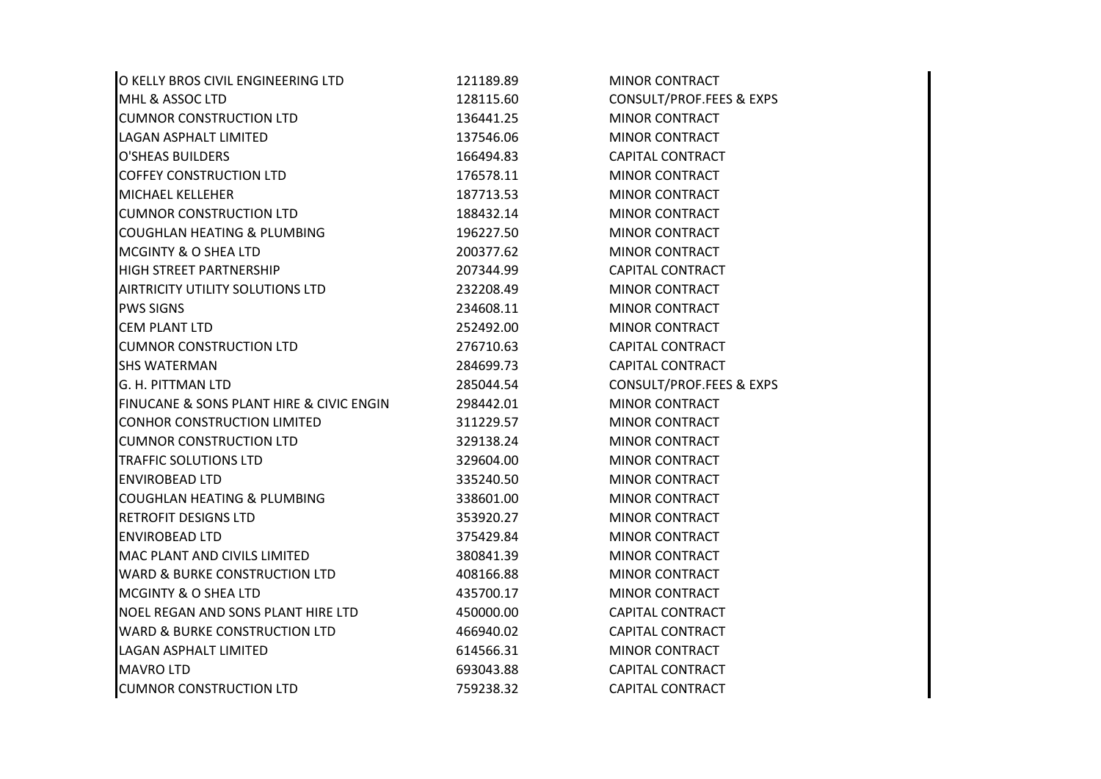| O KELLY BROS CIVIL ENGINEERING LTD       | 121189.89 | <b>MINOR CONTRACT</b>               |
|------------------------------------------|-----------|-------------------------------------|
| MHL & ASSOC LTD                          | 128115.60 | <b>CONSULT/PROF.FEES &amp; EXPS</b> |
| <b>CUMNOR CONSTRUCTION LTD</b>           | 136441.25 | <b>MINOR CONTRACT</b>               |
| LAGAN ASPHALT LIMITED                    | 137546.06 | <b>MINOR CONTRACT</b>               |
| <b>O'SHEAS BUILDERS</b>                  | 166494.83 | <b>CAPITAL CONTRACT</b>             |
| <b>COFFEY CONSTRUCTION LTD</b>           | 176578.11 | <b>MINOR CONTRACT</b>               |
| MICHAEL KELLEHER                         | 187713.53 | <b>MINOR CONTRACT</b>               |
| <b>CUMNOR CONSTRUCTION LTD</b>           | 188432.14 | <b>MINOR CONTRACT</b>               |
| COUGHLAN HEATING & PLUMBING              | 196227.50 | <b>MINOR CONTRACT</b>               |
| MCGINTY & O SHEA LTD                     | 200377.62 | <b>MINOR CONTRACT</b>               |
| HIGH STREET PARTNERSHIP                  | 207344.99 | <b>CAPITAL CONTRACT</b>             |
| AIRTRICITY UTILITY SOLUTIONS LTD         | 232208.49 | <b>MINOR CONTRACT</b>               |
| <b>PWS SIGNS</b>                         | 234608.11 | MINOR CONTRACT                      |
| <b>CEM PLANT LTD</b>                     | 252492.00 | <b>MINOR CONTRACT</b>               |
| <b>CUMNOR CONSTRUCTION LTD</b>           | 276710.63 | <b>CAPITAL CONTRACT</b>             |
| <b>SHS WATERMAN</b>                      | 284699.73 | <b>CAPITAL CONTRACT</b>             |
| G. H. PITTMAN LTD                        | 285044.54 | <b>CONSULT/PROF.FEES &amp; EXPS</b> |
| FINUCANE & SONS PLANT HIRE & CIVIC ENGIN | 298442.01 | <b>MINOR CONTRACT</b>               |
| CONHOR CONSTRUCTION LIMITED              | 311229.57 | <b>MINOR CONTRACT</b>               |
| <b>CUMNOR CONSTRUCTION LTD</b>           | 329138.24 | <b>MINOR CONTRACT</b>               |
| <b>TRAFFIC SOLUTIONS LTD</b>             | 329604.00 | <b>MINOR CONTRACT</b>               |
| <b>ENVIROBEAD LTD</b>                    | 335240.50 | <b>MINOR CONTRACT</b>               |
| COUGHLAN HEATING & PLUMBING              | 338601.00 | <b>MINOR CONTRACT</b>               |
| <b>RETROFIT DESIGNS LTD</b>              | 353920.27 | <b>MINOR CONTRACT</b>               |
| <b>ENVIROBEAD LTD</b>                    | 375429.84 | <b>MINOR CONTRACT</b>               |
| MAC PLANT AND CIVILS LIMITED             | 380841.39 | <b>MINOR CONTRACT</b>               |
| <b>WARD &amp; BURKE CONSTRUCTION LTD</b> | 408166.88 | <b>MINOR CONTRACT</b>               |
| <b>MCGINTY &amp; O SHEA LTD</b>          | 435700.17 | <b>MINOR CONTRACT</b>               |
| NOEL REGAN AND SONS PLANT HIRE LTD       | 450000.00 | <b>CAPITAL CONTRACT</b>             |
| <b>WARD &amp; BURKE CONSTRUCTION LTD</b> | 466940.02 | <b>CAPITAL CONTRACT</b>             |
| LAGAN ASPHALT LIMITED                    | 614566.31 | <b>MINOR CONTRACT</b>               |
| <b>MAVRO LTD</b>                         | 693043.88 | <b>CAPITAL CONTRACT</b>             |
| <b>CUMNOR CONSTRUCTION LTD</b>           | 759238.32 | <b>CAPITAL CONTRACT</b>             |